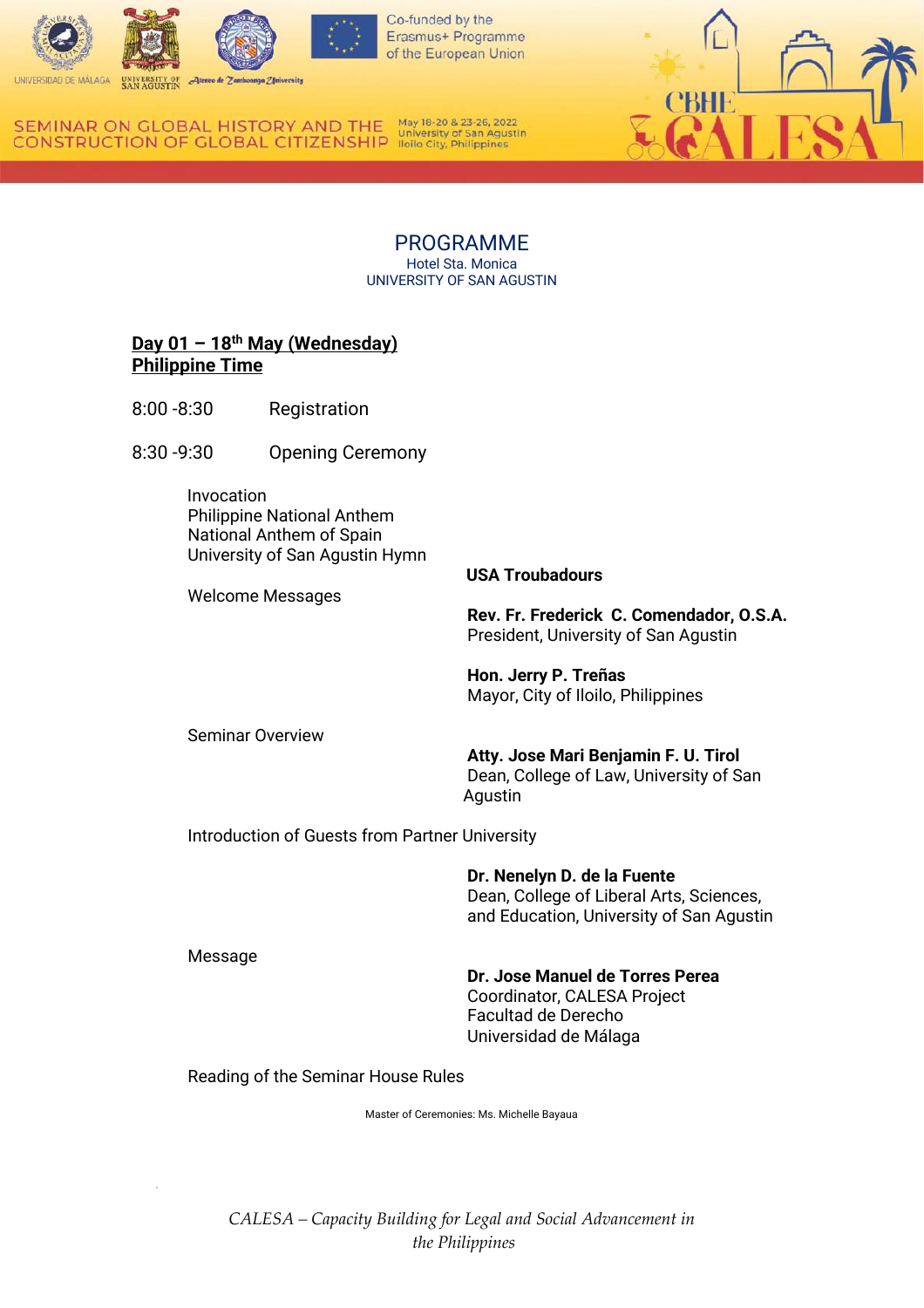

Erasmus+ Programme of the European Union

RSIDAD DE MÁLAGA

May 18-20 & 23-26, 2022 SEMINAR ON GLOBAL HISTORY AND THE **CONSTRUCTION OF GLOBAL CITIZENSHIP** ligilo City, Philippines

> PROGRAMME Hotel Sta. Monica UNIVERSITY OF SAN AGUSTIN

# **Day 01 – 18th May (Wednesday) Philippine Time**

- 8:00 -8:30 Registration
- 8:30 -9:30 Opening Ceremony

 Invocation Philippine National Anthem National Anthem of Spain University of San Agustin Hymn

Welcome Messages

### **USA Troubadours**

**Rev. Fr. Frederick C. Comendador, O.S.A.** President, University of San Agustin

**Hon. Jerry P. Treñas** Mayor, City of Iloilo, Philippines

Seminar Overview

**Atty. Jose Mari Benjamin F. U. Tirol** Dean, College of Law, University of San Agustin

Introduction of Guests from Partner University

**Dr. Nenelyn D. de la Fuente** Dean, College of Liberal Arts, Sciences, and Education, University of San Agustin

Message

### **Dr. Jose Manuel de Torres Perea**

Coordinator, CALESA Project Facultad de Derecho Universidad de Málaga

Reading of the Seminar House Rules

Master of Ceremonies: Ms. Michelle Bayaua

*CALESA – Capacity Building for Legal and Social Advancement in the Philippines*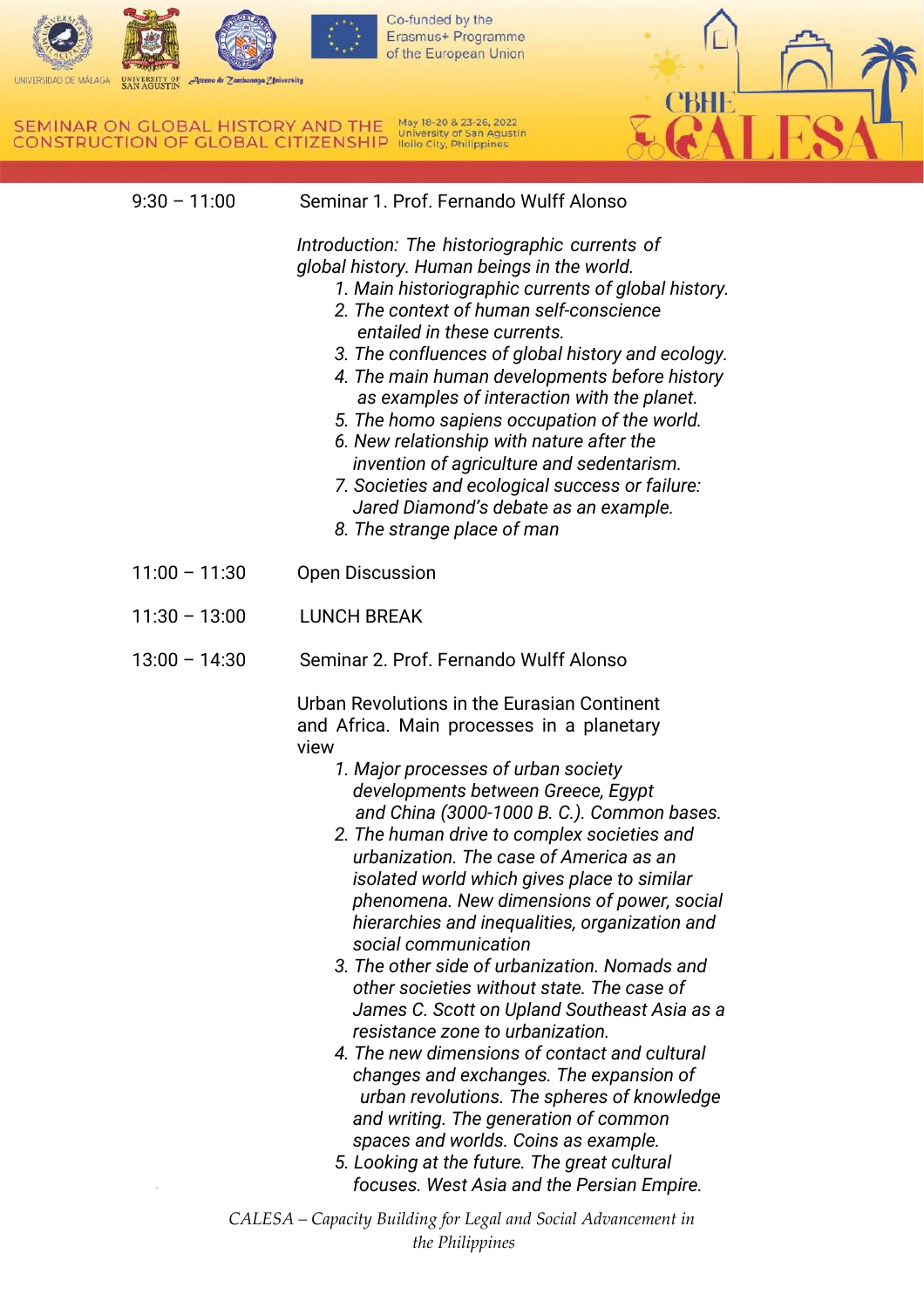

UNIVERSIDAD DE MÁLAGA UNIVERSITY OF SAN AGUSTIN  $\mathcal{A}$ teneo de Zamboanga Z fniversity

SEMINAR ON GLOBAL HISTORY AND THE May 18-20 & 23-26, 2022<br>CONSTRUCTION OF GLOBAL CITIZENSHIP Hollo City, Philippines

| $9:30 - 11:00$  | Seminar 1. Prof. Fernando Wulff Alonso                                                                                                                                                                                                                                                                                                                                                                                                                                                                                                                                                                                                                                                                                                                                                                                                                                                                                                                                                                                                                                      |
|-----------------|-----------------------------------------------------------------------------------------------------------------------------------------------------------------------------------------------------------------------------------------------------------------------------------------------------------------------------------------------------------------------------------------------------------------------------------------------------------------------------------------------------------------------------------------------------------------------------------------------------------------------------------------------------------------------------------------------------------------------------------------------------------------------------------------------------------------------------------------------------------------------------------------------------------------------------------------------------------------------------------------------------------------------------------------------------------------------------|
|                 | Introduction: The historiographic currents of<br>global history. Human beings in the world.<br>1. Main historiographic currents of global history.<br>2. The context of human self-conscience<br>entailed in these currents.<br>3. The confluences of global history and ecology.<br>4. The main human developments before history<br>as examples of interaction with the planet.<br>5. The homo sapiens occupation of the world.<br>6. New relationship with nature after the<br>invention of agriculture and sedentarism.<br>7. Societies and ecological success or failure:<br>Jared Diamond's debate as an example.<br>8. The strange place of man                                                                                                                                                                                                                                                                                                                                                                                                                      |
| $11:00 - 11:30$ | <b>Open Discussion</b>                                                                                                                                                                                                                                                                                                                                                                                                                                                                                                                                                                                                                                                                                                                                                                                                                                                                                                                                                                                                                                                      |
| $11:30 - 13:00$ | <b>LUNCH BREAK</b>                                                                                                                                                                                                                                                                                                                                                                                                                                                                                                                                                                                                                                                                                                                                                                                                                                                                                                                                                                                                                                                          |
| $13:00 - 14:30$ | Seminar 2. Prof. Fernando Wulff Alonso                                                                                                                                                                                                                                                                                                                                                                                                                                                                                                                                                                                                                                                                                                                                                                                                                                                                                                                                                                                                                                      |
|                 | Urban Revolutions in the Eurasian Continent<br>and Africa. Main processes in a planetary<br>view<br>1. Major processes of urban society<br>developments between Greece, Egypt<br>and China (3000-1000 B. C.). Common bases.<br>2. The human drive to complex societies and<br>urbanization. The case of America as an<br>isolated world which gives place to similar<br>phenomena. New dimensions of power, social<br>hierarchies and inequalities, organization and<br>social communication<br>3. The other side of urbanization. Nomads and<br>other societies without state. The case of<br>James C. Scott on Upland Southeast Asia as a<br>resistance zone to urbanization.<br>4. The new dimensions of contact and cultural<br>changes and exchanges. The expansion of<br>urban revolutions. The spheres of knowledge<br>and writing. The generation of common<br>spaces and worlds. Coins as example.<br>5. Looking at the future. The great cultural<br>focuses. West Asia and the Persian Empire.<br>CALESA – Capacity Building for Legal and Social Advancement in |
|                 | the Philippines                                                                                                                                                                                                                                                                                                                                                                                                                                                                                                                                                                                                                                                                                                                                                                                                                                                                                                                                                                                                                                                             |

**CBHF**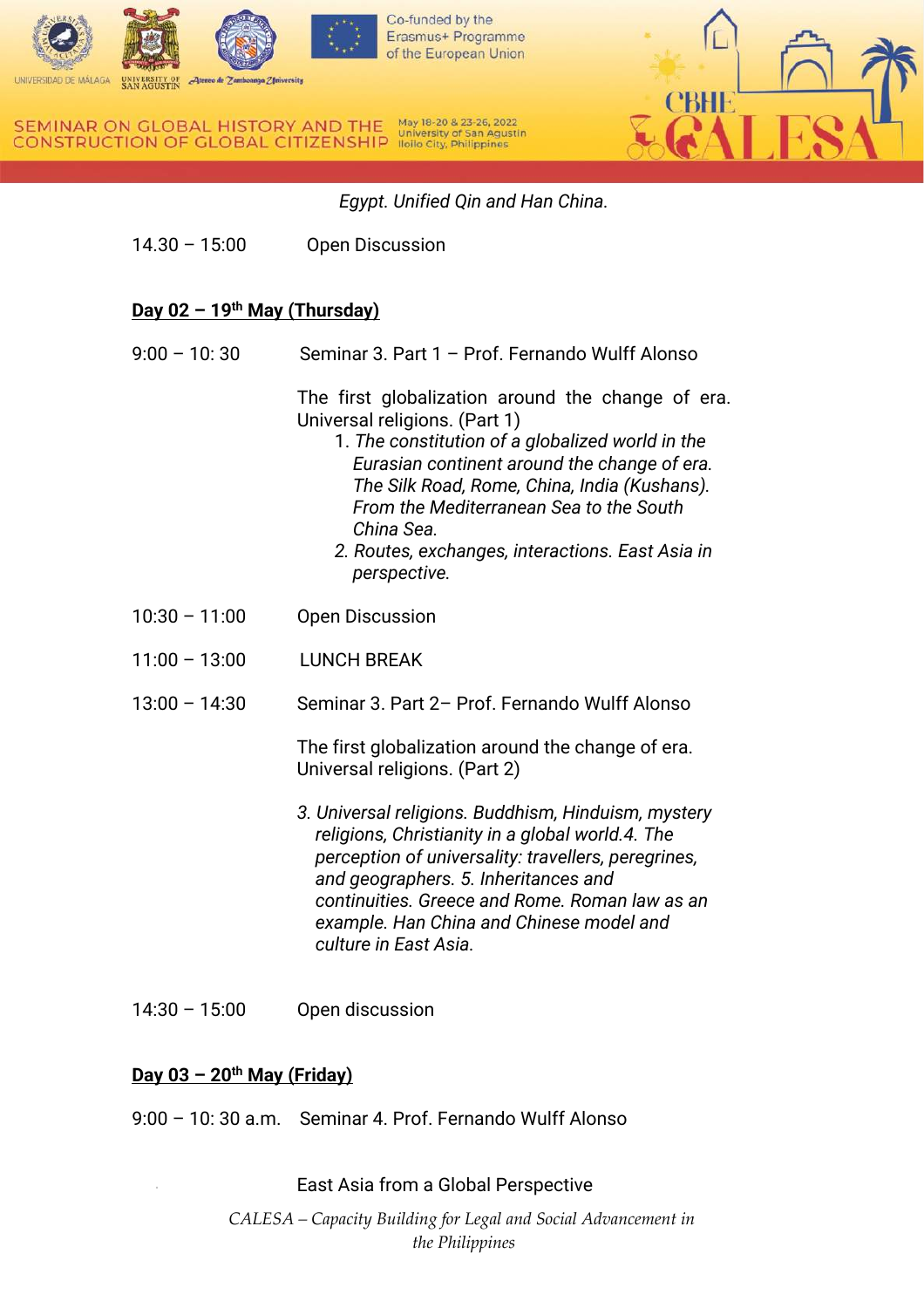



 *Egypt. Unified Qin and Han China.*

14.30 – 15:00 Open Discussion

# **Day 02 – 19th May (Thursday)**

9:00 – 10: 30 Seminar 3. Part 1 – Prof. Fernando Wulff Alonso

The first globalization around the change of era. Universal religions. (Part 1)

- 1. *The constitution of a globalized world in the Eurasian continent around the change of era. The Silk Road, Rome, China, India (Kushans). From the Mediterranean Sea to the South China Sea.*
- *2. Routes, exchanges, interactions. East Asia in perspective.*
- 10:30 11:00 Open Discussion
- 11:00 13:00 LUNCH BREAK
- 13:00 14:30 Seminar 3. Part 2– Prof. Fernando Wulff Alonso

The first globalization around the change of era. Universal religions. (Part 2)

- *3. Universal religions. Buddhism, Hinduism, mystery religions, Christianity in a global world.4. The perception of universality: travellers, peregrines, and geographers. 5. Inheritances and continuities. Greece and Rome. Roman law as an example. Han China and Chinese model and culture in East Asia.*
- 14:30 15:00 Open discussion

## **Day 03 – 20th May (Friday)**

9:00 – 10: 30 a.m. Seminar 4. Prof. Fernando Wulff Alonso

East Asia from a Global Perspective

*CALESA – Capacity Building for Legal and Social Advancement in the Philippines*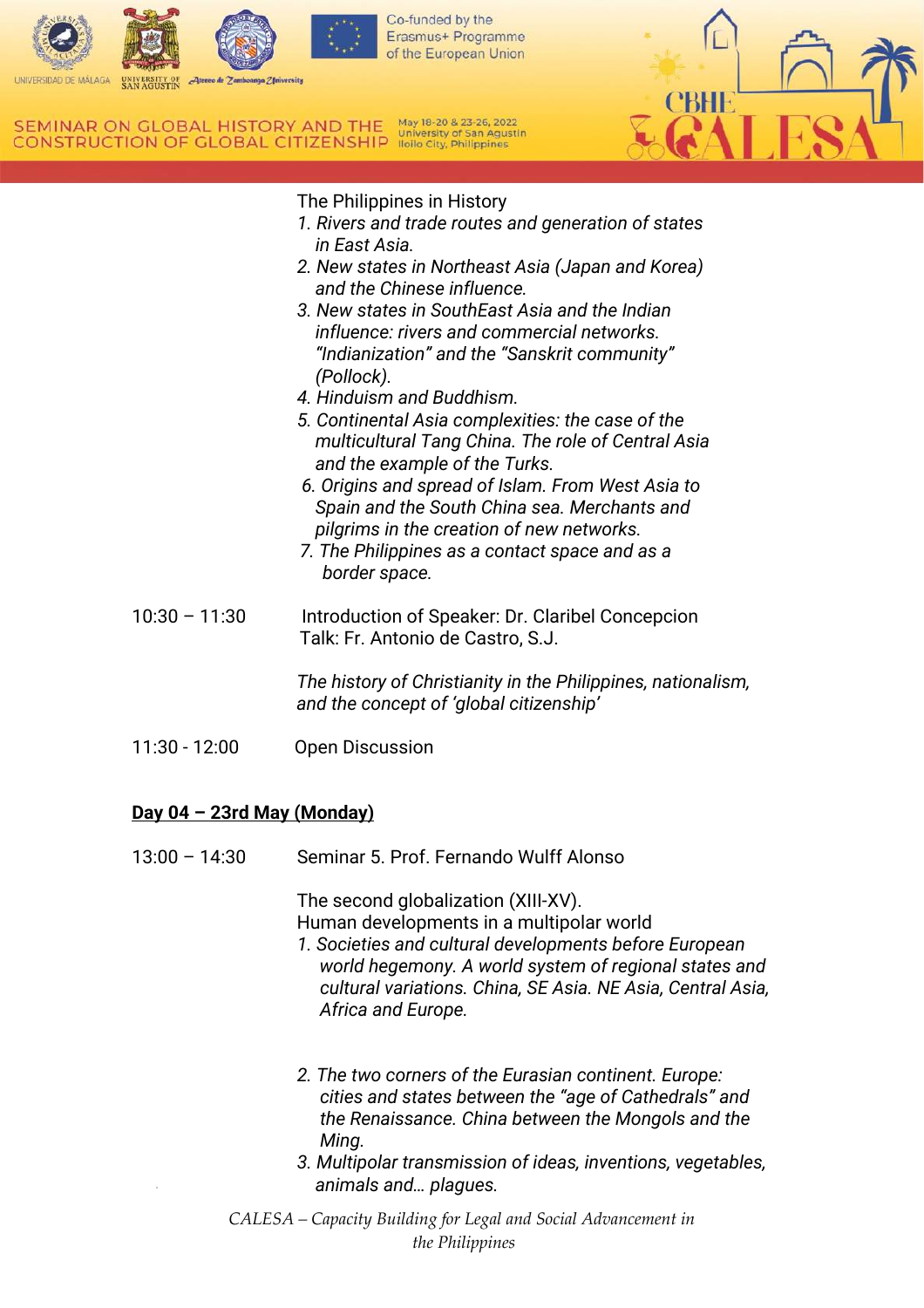



## The Philippines in History

- *1. Rivers and trade routes and generation of states in East Asia.*
- *2. New states in Northeast Asia (Japan and Korea) and the Chinese influence.*
- *3. New states in SouthEast Asia and the Indian influence: rivers and commercial networks. "Indianization" and the "Sanskrit community" (Pollock).*
- *4. Hinduism and Buddhism.*
- *5. Continental Asia complexities: the case of the multicultural Tang China. The role of Central Asia and the example of the Turks.*
- *6. Origins and spread of Islam. From West Asia to Spain and the South China sea. Merchants and pilgrims in the creation of new networks.*
- *7. The Philippines as a contact space and as a border space.*
- 10:30 11:30 Introduction of Speaker: Dr. Claribel Concepcion Talk: Fr. Antonio de Castro, S.J.

*The history of Christianity in the Philippines, nationalism, and the concept of 'global citizenship'*

11:30 - 12:00 Open Discussion

## **Day 04 – 23rd May (Monday)**

13:00 – 14:30 Seminar 5. Prof. Fernando Wulff Alonso

The second globalization (XIII-XV).

Human developments in a multipolar world

- *1. Societies and cultural developments before European world hegemony. A world system of regional states and cultural variations. China, SE Asia. NE Asia, Central Asia, Africa and Europe.*
- *2. The two corners of the Eurasian continent. Europe: cities and states between the "age of Cathedrals" and the Renaissance. China between the Mongols and the Ming.*
- *3. Multipolar transmission of ideas, inventions, vegetables, animals and… plagues.*
- *CALESA – Capacity Building for Legal and Social Advancement in the Philippines*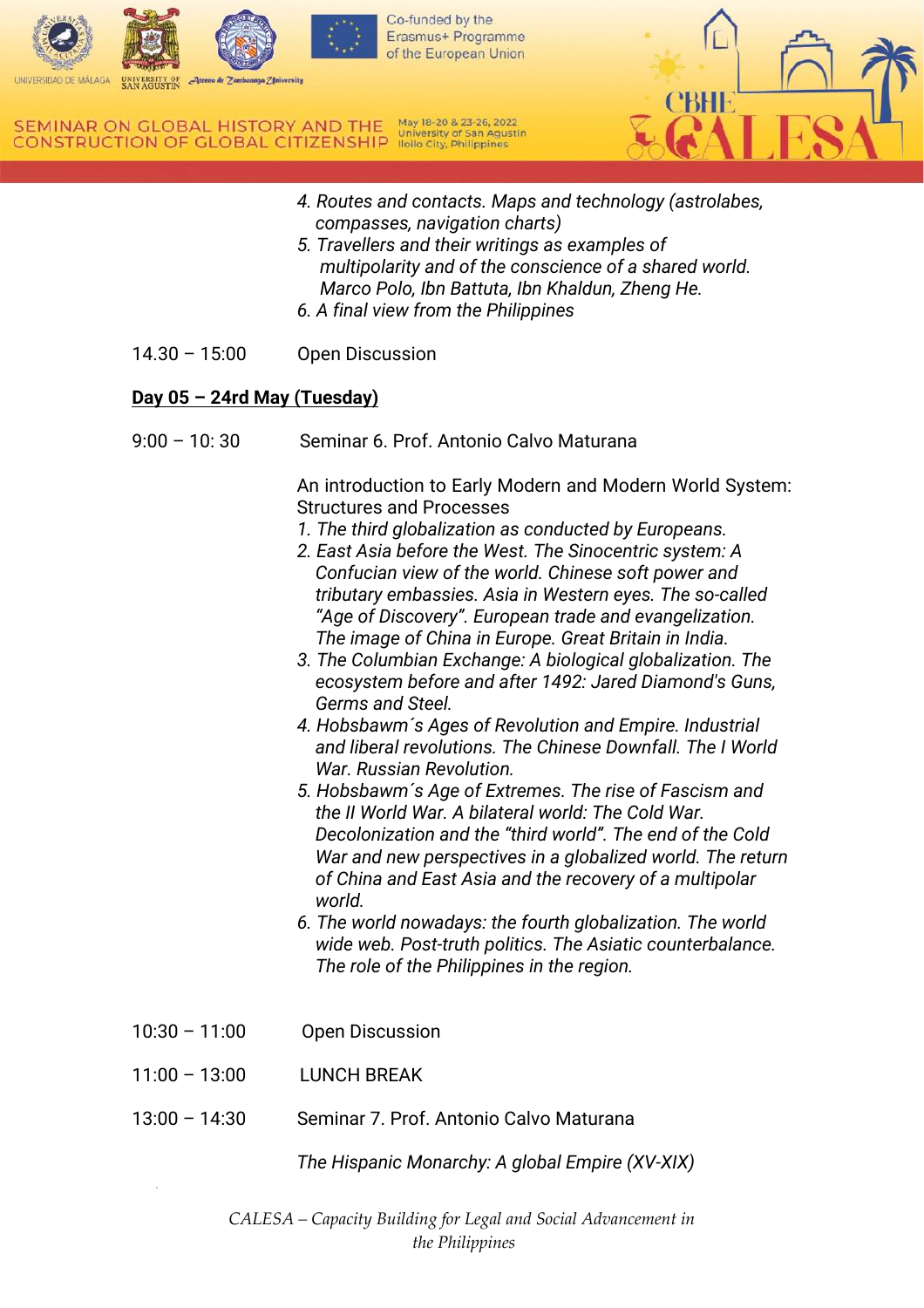



- *4. Routes and contacts. Maps and technology (astrolabes, compasses, navigation charts)*
- *5. Travellers and their writings as examples of multipolarity and of the conscience of a shared world. Marco Polo, Ibn Battuta, Ibn Khaldun, Zheng He. 6. A final view from the Philippines*
- 14.30 15:00 Open Discussion

## **Day 05 – 24rd May (Tuesday)**

9:00 – 10: 30 Seminar 6. Prof. Antonio Calvo Maturana

An introduction to Early Modern and Modern World System: Structures and Processes

- *1. The third globalization as conducted by Europeans.*
- *2. East Asia before the West. The Sinocentric system: A Confucian view of the world. Chinese soft power and tributary embassies. Asia in Western eyes. The so-called "Age of Discovery". European trade and evangelization. The image of China in Europe. Great Britain in India.*
- *3. The Columbian Exchange: A biological globalization. The ecosystem before and after 1492: Jared Diamond's Guns, Germs and Steel.*
- *4. Hobsbawm´s Ages of Revolution and Empire. Industrial and liberal revolutions. The Chinese Downfall. The I World War. Russian Revolution.*
- *5. Hobsbawm´s Age of Extremes. The rise of Fascism and the II World War. A bilateral world: The Cold War. Decolonization and the "third world". The end of the Cold War and new perspectives in a globalized world. The return of China and East Asia and the recovery of a multipolar world.*
- *6. The world nowadays: the fourth globalization. The world wide web. Post-truth politics. The Asiatic counterbalance. The role of the Philippines in the region.*
- 10:30 11:00 Open Discussion
- 11:00 13:00 LUNCH BREAK
- 13:00 14:30 Seminar 7. Prof. Antonio Calvo Maturana

*The Hispanic Monarchy: A global Empire (XV-XIX)*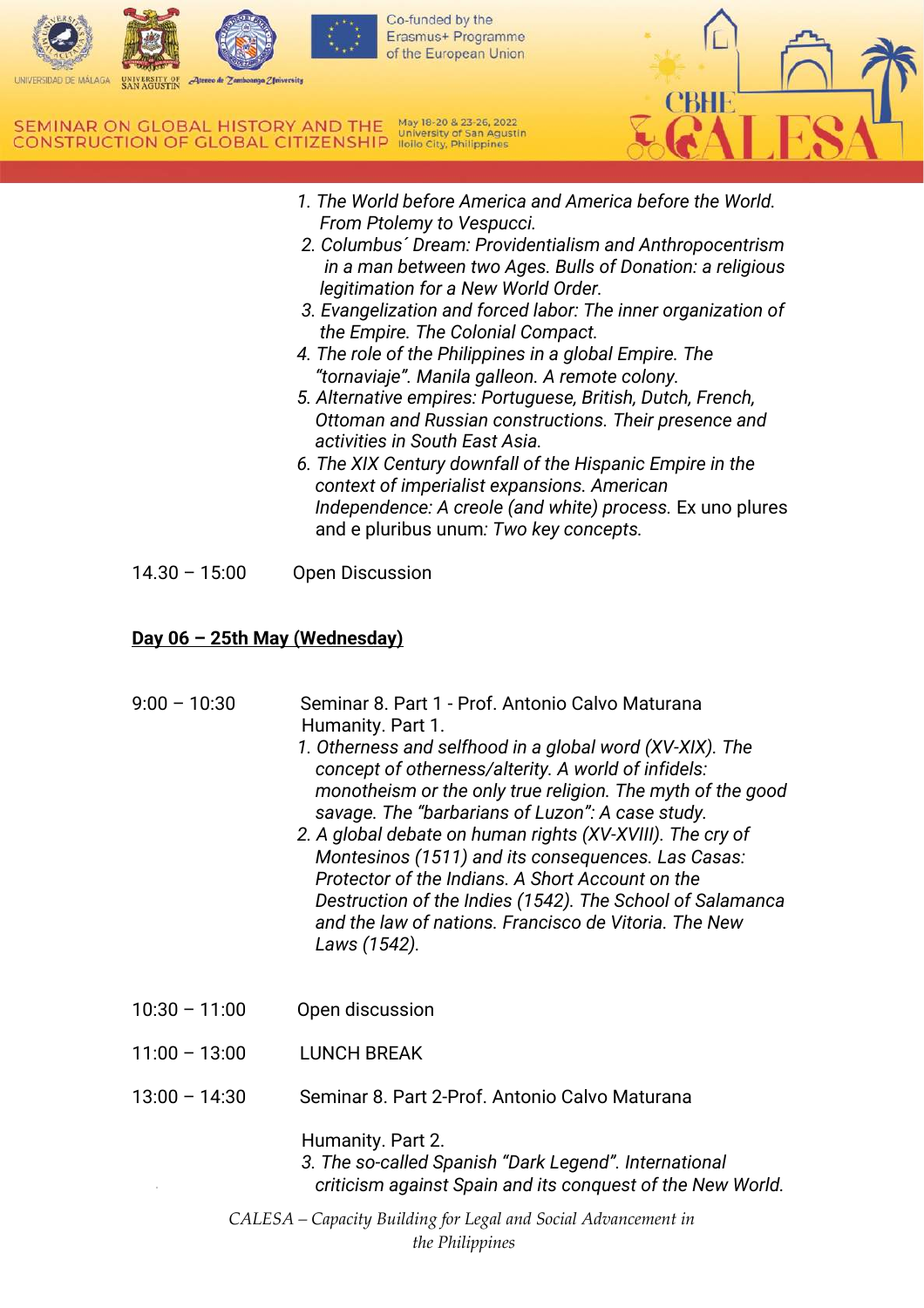

Erasmus+ Programme

May 18-20 & 23-26, 2022 SEMINAR ON GLOBAL HISTORY AND THE **CONSTRUCTION OF GLOBAL CITIZENSHIP** ligilo City, Philippines



- *1. The World before America and America before the World. From Ptolemy to Vespucci.*
- *2. Columbus´ Dream: Providentialism and Anthropocentrism in a man between two Ages. Bulls of Donation: a religious legitimation for a New World Order.*
- *3. Evangelization and forced labor: The inner organization of the Empire. The Colonial Compact.*
- *4. The role of the Philippines in a global Empire. The "tornaviaje". Manila galleon. A remote colony.*
- *5. Alternative empires: Portuguese, British, Dutch, French, Ottoman and Russian constructions. Their presence and activities in South East Asia.*
- *6. The XIX Century downfall of the Hispanic Empire in the context of imperialist expansions. American Independence: A creole (and white) process.* Ex uno plures and e pluribus unum*: Two key concepts.*
- 14.30 15:00 Open Discussion

# **Day 06 – 25th May (Wednesday)**

*CALESA – Capacity Building for Legal and Social Advancement in the Philippines* 9:00 – 10:30 Seminar 8. Part 1 - Prof. Antonio Calvo Maturana Humanity. Part 1. *1. Otherness and selfhood in a global word (XV-XIX). The concept of otherness/alterity. A world of infidels: monotheism or the only true religion. The myth of the good savage. The "barbarians of Luzon": A case study. 2. A global debate on human rights (XV-XVIII). The cry of Montesinos (1511) and its consequences. Las Casas: Protector of the Indians. A Short Account on the Destruction of the Indies (1542). The School of Salamanca and the law of nations. Francisco de Vitoria. The New Laws (1542).*  10:30 – 11:00 Open discussion 11:00 – 13:00 LUNCH BREAK 13:00 – 14:30 Seminar 8. Part 2-Prof. Antonio Calvo Maturana Humanity. Part 2. *3. The so-called Spanish "Dark Legend". International criticism against Spain and its conquest of the New World.*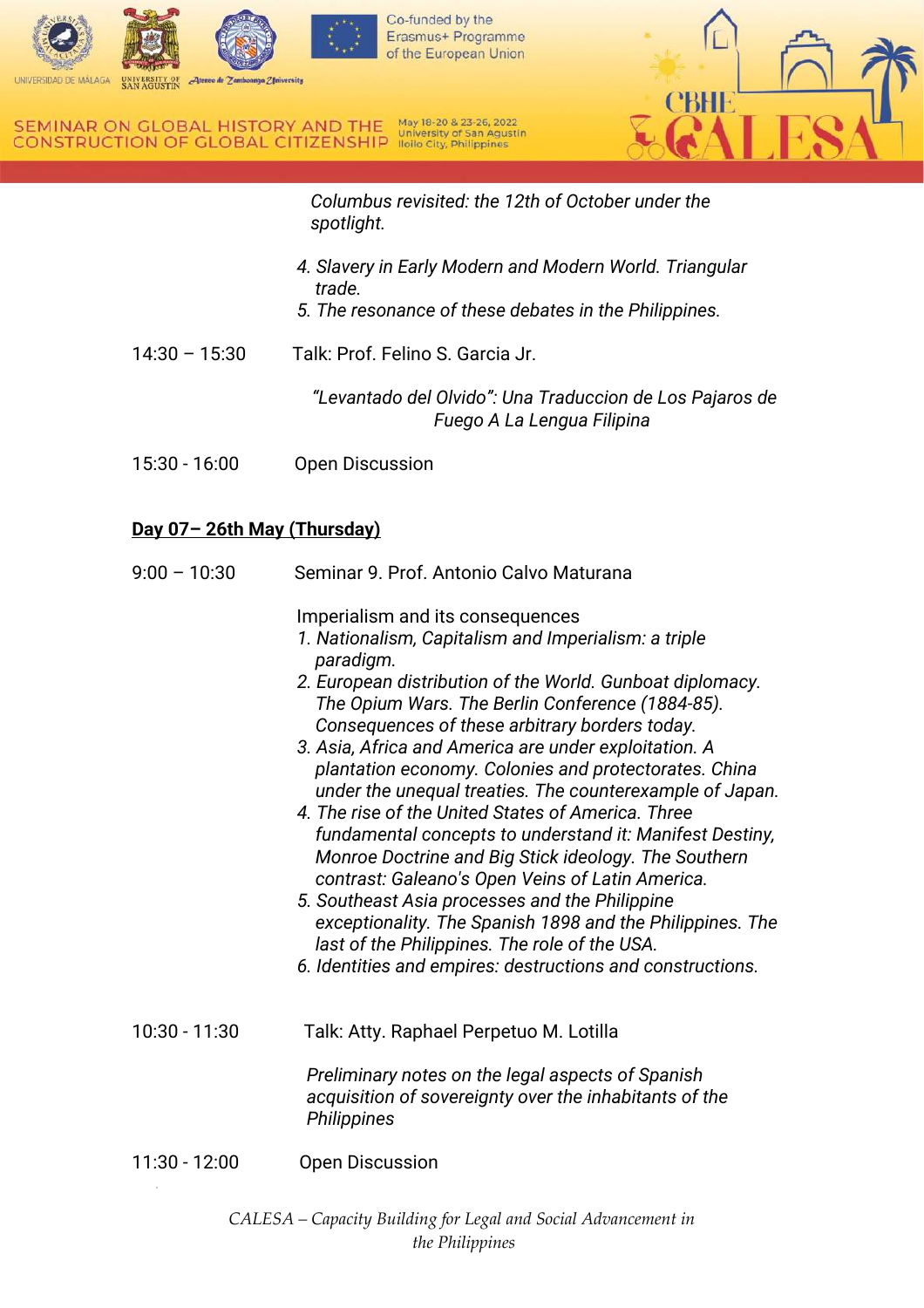

 *Columbus revisited: the 12th of October under the spotlight.* 

- *4. Slavery in Early Modern and Modern World. Triangular trade.*
- *5. The resonance of these debates in the Philippines.*
- 14:30 15:30 Talk: Prof. Felino S. Garcia Jr.

*"Levantado del Olvido": Una Traduccion de Los Pajaros de Fuego A La Lengua Filipina*

15:30 - 16:00 Open Discussion

# **Day 07– 26th May (Thursday)**

| $9:00 - 10:30$  | Seminar 9, Prof. Antonio Calvo Maturana                                                                                                                                                                                                                                                                                                                                                                                                                                                                                                                                                                                                                                                                                                                                                                                                                                                                            |
|-----------------|--------------------------------------------------------------------------------------------------------------------------------------------------------------------------------------------------------------------------------------------------------------------------------------------------------------------------------------------------------------------------------------------------------------------------------------------------------------------------------------------------------------------------------------------------------------------------------------------------------------------------------------------------------------------------------------------------------------------------------------------------------------------------------------------------------------------------------------------------------------------------------------------------------------------|
|                 | Imperialism and its consequences<br>1. Nationalism, Capitalism and Imperialism: a triple<br>paradigm.<br>2. European distribution of the World. Gunboat diplomacy.<br>The Opium Wars. The Berlin Conference (1884-85).<br>Consequences of these arbitrary borders today.<br>3. Asia, Africa and America are under exploitation. A<br>plantation economy. Colonies and protectorates. China<br>under the unequal treaties. The counterexample of Japan.<br>4. The rise of the United States of America. Three<br>fundamental concepts to understand it: Manifest Destiny,<br>Monroe Doctrine and Big Stick ideology. The Southern<br>contrast: Galeano's Open Veins of Latin America.<br>5. Southeast Asia processes and the Philippine<br>exceptionality. The Spanish 1898 and the Philippines. The<br>last of the Philippines. The role of the USA.<br>6. Identities and empires: destructions and constructions. |
| $10:30 - 11:30$ | Talk: Atty. Raphael Perpetuo M. Lotilla<br>Preliminary notes on the legal aspects of Spanish                                                                                                                                                                                                                                                                                                                                                                                                                                                                                                                                                                                                                                                                                                                                                                                                                       |
|                 | acquisition of sovereignty over the inhabitants of the<br>Philippines                                                                                                                                                                                                                                                                                                                                                                                                                                                                                                                                                                                                                                                                                                                                                                                                                                              |
| 11:30 - 12:00   | <b>Open Discussion</b>                                                                                                                                                                                                                                                                                                                                                                                                                                                                                                                                                                                                                                                                                                                                                                                                                                                                                             |

*CALESA – Capacity Building for Legal and Social Advancement in the Philippines*